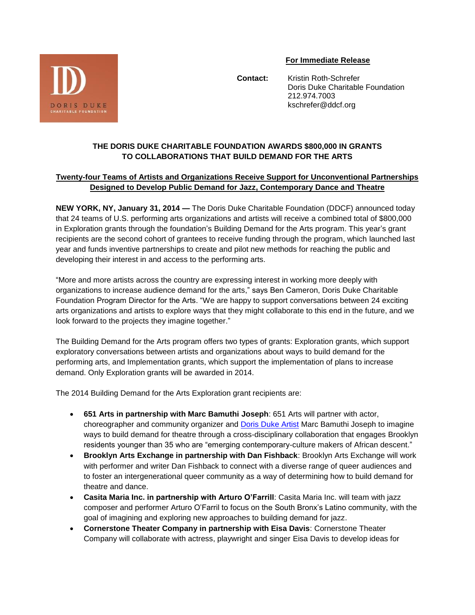

## **For Immediate Release**

 **Contact:** Kristin Roth-Schrefer Doris Duke Charitable Foundation 212.974.7003 kschrefer@ddcf.org

## **THE DORIS DUKE CHARITABLE FOUNDATION AWARDS \$800,000 IN GRANTS TO COLLABORATIONS THAT BUILD DEMAND FOR THE ARTS**

## **Twenty-four Teams of Artists and Organizations Receive Support for Unconventional Partnerships Designed to Develop Public Demand for Jazz, Contemporary Dance and Theatre**

**NEW YORK, NY, January 31, 2014 —** The Doris Duke Charitable Foundation (DDCF) announced today that 24 teams of U.S. performing arts organizations and artists will receive a combined total of \$800,000 in Exploration grants through the foundation's Building Demand for the Arts program. This year's grant recipients are the second cohort of grantees to receive funding through the program, which launched last year and funds inventive partnerships to create and pilot new methods for reaching the public and developing their interest in and access to the performing arts.

"More and more artists across the country are expressing interest in working more deeply with organizations to increase audience demand for the arts," says Ben Cameron, Doris Duke Charitable Foundation Program Director for the Arts. "We are happy to support conversations between 24 exciting arts organizations and artists to explore ways that they might collaborate to this end in the future, and we look forward to the projects they imagine together."

The Building Demand for the Arts program offers two types of grants: Exploration grants, which support exploratory conversations between artists and organizations about ways to build demand for the performing arts, and Implementation grants, which support the implementation of plans to increase demand. Only Exploration grants will be awarded in 2014.

The 2014 Building Demand for the Arts Exploration grant recipients are:

- **651 Arts in partnership with Marc Bamuthi Joseph**: 651 Arts will partner with actor, choreographer and community organizer and [Doris Duke Artist](http://ddpaa.org/artist/marc-bamuthi-joseph/) Marc Bamuthi Joseph to imagine ways to build demand for theatre through a cross-disciplinary collaboration that engages Brooklyn residents younger than 35 who are "emerging contemporary-culture makers of African descent."
- **Brooklyn Arts Exchange in partnership with Dan Fishback**: Brooklyn Arts Exchange will work with performer and writer Dan Fishback to connect with a diverse range of queer audiences and to foster an intergenerational queer community as a way of determining how to build demand for theatre and dance.
- **Casita Maria Inc. in partnership with Arturo O'Farrill**: Casita Maria Inc. will team with jazz composer and performer Arturo O'Farril to focus on the South Bronx's Latino community, with the goal of imagining and exploring new approaches to building demand for jazz.
- **Cornerstone Theater Company in partnership with Eisa Davis**: Cornerstone Theater Company will collaborate with actress, playwright and singer Eisa Davis to develop ideas for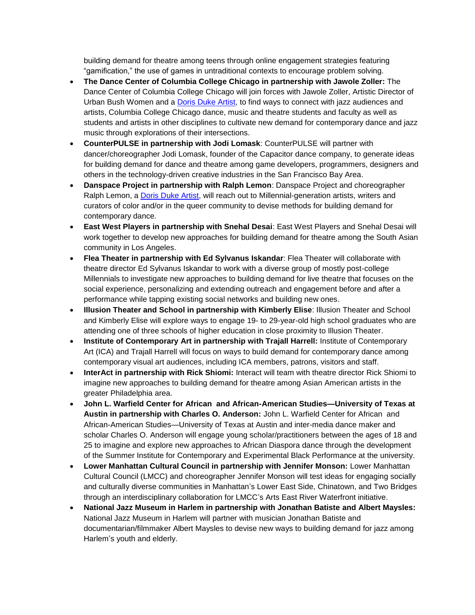building demand for theatre among teens through online engagement strategies featuring "gamification," the use of games in untraditional contexts to encourage problem solving.

- **The Dance Center of Columbia College Chicago in partnership with Jawole Zoller:** The Dance Center of Columbia College Chicago will join forces with Jawole Zoller, Artistic Director of Urban Bush Women and a [Doris Duke Artist,](http://ddpaa.org/artist/jawole-willa-jo-zollar/) to find ways to connect with jazz audiences and artists, Columbia College Chicago dance, music and theatre students and faculty as well as students and artists in other disciplines to cultivate new demand for contemporary dance and jazz music through explorations of their intersections.
- **CounterPULSE in partnership with Jodi Lomask**: CounterPULSE will partner with dancer/choreographer Jodi Lomask, founder of the Capacitor dance company, to generate ideas for building demand for dance and theatre among game developers, programmers, designers and others in the technology-driven creative industries in the San Francisco Bay Area.
- **Danspace Project in partnership with Ralph Lemon**: Danspace Project and choreographer Ralph Lemon, a [Doris Duke Artist,](http://ddpaa.org/artist/ralph-lemon/) will reach out to Millennial-generation artists, writers and curators of color and/or in the queer community to devise methods for building demand for contemporary dance.
- **East West Players in partnership with Snehal Desai**: East West Players and Snehal Desai will work together to develop new approaches for building demand for theatre among the South Asian community in Los Angeles.
- **Flea Theater in partnership with Ed Sylvanus Iskandar**: Flea Theater will collaborate with theatre director Ed Sylvanus Iskandar to work with a diverse group of mostly post-college Millennials to investigate new approaches to building demand for live theatre that focuses on the social experience, personalizing and extending outreach and engagement before and after a performance while tapping existing social networks and building new ones.
- **Illusion Theater and School in partnership with Kimberly Elise**: Illusion Theater and School and Kimberly Elise will explore ways to engage 19- to 29-year-old high school graduates who are attending one of three schools of higher education in close proximity to Illusion Theater.
- **Institute of Contemporary Art in partnership with Trajall Harrell:** Institute of Contemporary Art (ICA) and Trajall Harrell will focus on ways to build demand for contemporary dance among contemporary visual art audiences, including ICA members, patrons, visitors and staff.
- **InterAct in partnership with Rick Shiomi:** Interact will team with theatre director Rick Shiomi to imagine new approaches to building demand for theatre among Asian American artists in the greater Philadelphia area.
- **John L. Warfield Center for African and African-American Studies—University of Texas at Austin in partnership with Charles O. Anderson:** John L. Warfield Center for African and African-American Studies—University of Texas at Austin and inter-media dance maker and scholar Charles O. Anderson will engage young scholar/practitioners between the ages of 18 and 25 to imagine and explore new approaches to African Diaspora dance through the development of the Summer Institute for Contemporary and Experimental Black Performance at the university.
- **Lower Manhattan Cultural Council in partnership with Jennifer Monson:** Lower Manhattan Cultural Council (LMCC) and choreographer Jennifer Monson will test ideas for engaging socially and culturally diverse communities in Manhattan's Lower East Side, Chinatown, and Two Bridges through an interdisciplinary collaboration for LMCC's Arts East River Waterfront initiative.
- **National Jazz Museum in Harlem in partnership with Jonathan Batiste and Albert Maysles:**  National Jazz Museum in Harlem will partner with musician Jonathan Batiste and documentarian/filmmaker Albert Maysles to devise new ways to building demand for jazz among Harlem's youth and elderly.